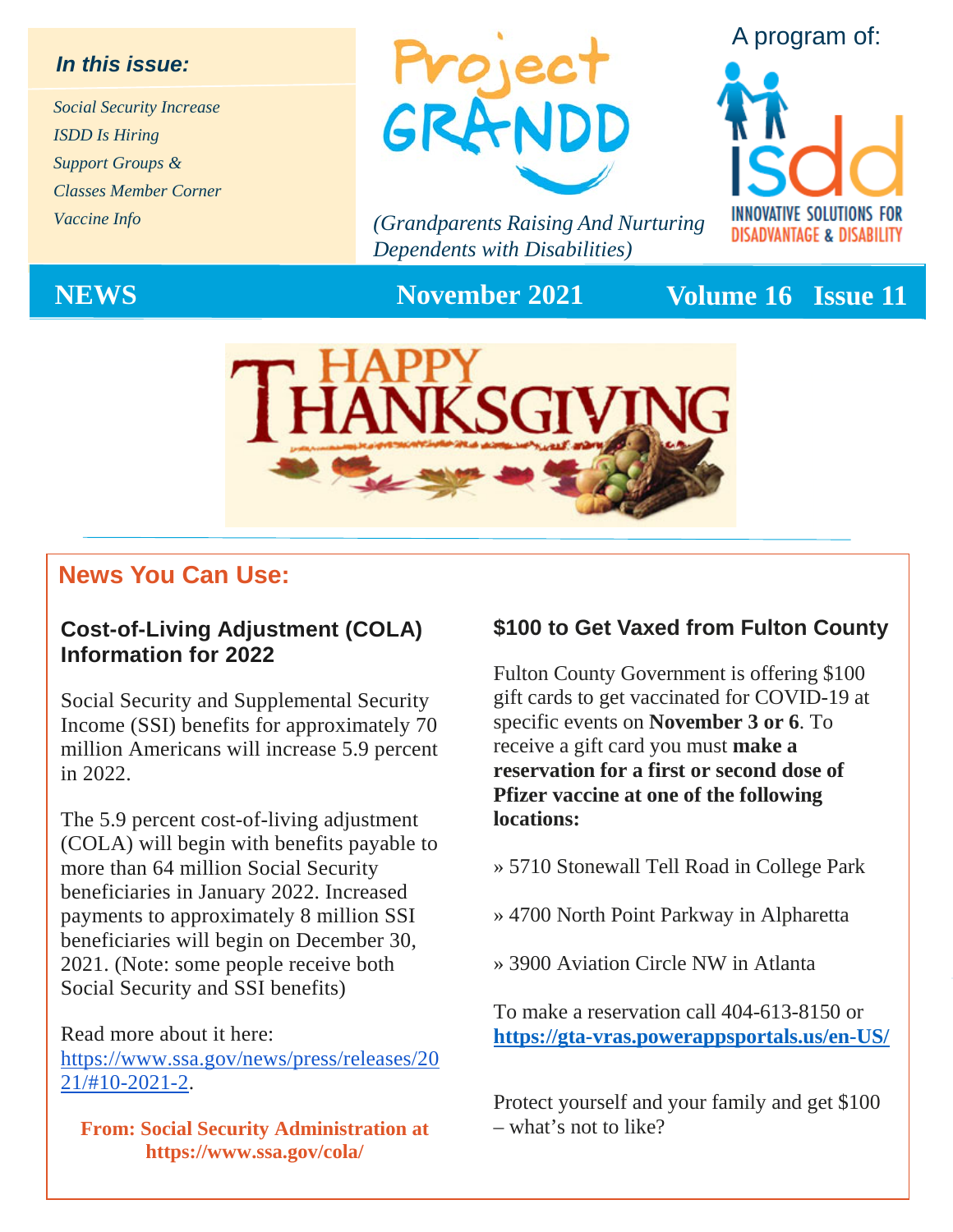#### *In this issue:*

*Social Security Increase ISDD Is Hiring Support Groups & Classes Member Corner Vaccine Info*



*(Grandparents Raising And Nurturing Dependents with Disabilities)*





**NEWS November 2021 Volume 16 Issue 11**



### **News You Can Use:**

#### **Cost-of-Living Adjustment (COLA) Information for 2022**

Social Security and Supplemental Security Income (SSI) benefits for approximately 70 million Americans will increase 5.9 percent in 2022.

The 5.9 percent cost-of-living adjustment (COLA) will begin with benefits payable to more than 64 million Social Security beneficiaries in January 2022. Increased payments to approximately 8 million SSI beneficiaries will begin on December 30, 2021. (Note: some people receive both Social Security and SSI benefits)

#### Read more about it here: https://www.ssa.gov/news/press/releases/20

21/#10-2021-2.

**From: Social Security Administration at https://www.ssa.gov/cola/** 

#### **\$100 to Get Vaxed from Fulton County**

Fulton County Government is offering \$100 gift cards to get vaccinated for COVID-19 at specific events on **November 3 or 6**. To receive a gift card you must **make a reservation for a first or second dose of Pfizer vaccine at one of the following locations:**

- » 5710 Stonewall Tell Road in College Park
- » 4700 North Point Parkway in Alpharetta
- » 3900 Aviation Circle NW in Atlanta

To make a reservation call 404-613-8150 or **<https://gta-vras.powerappsportals.us/en-US/>**

Protect yourself and your family and get \$100 – what's not to like?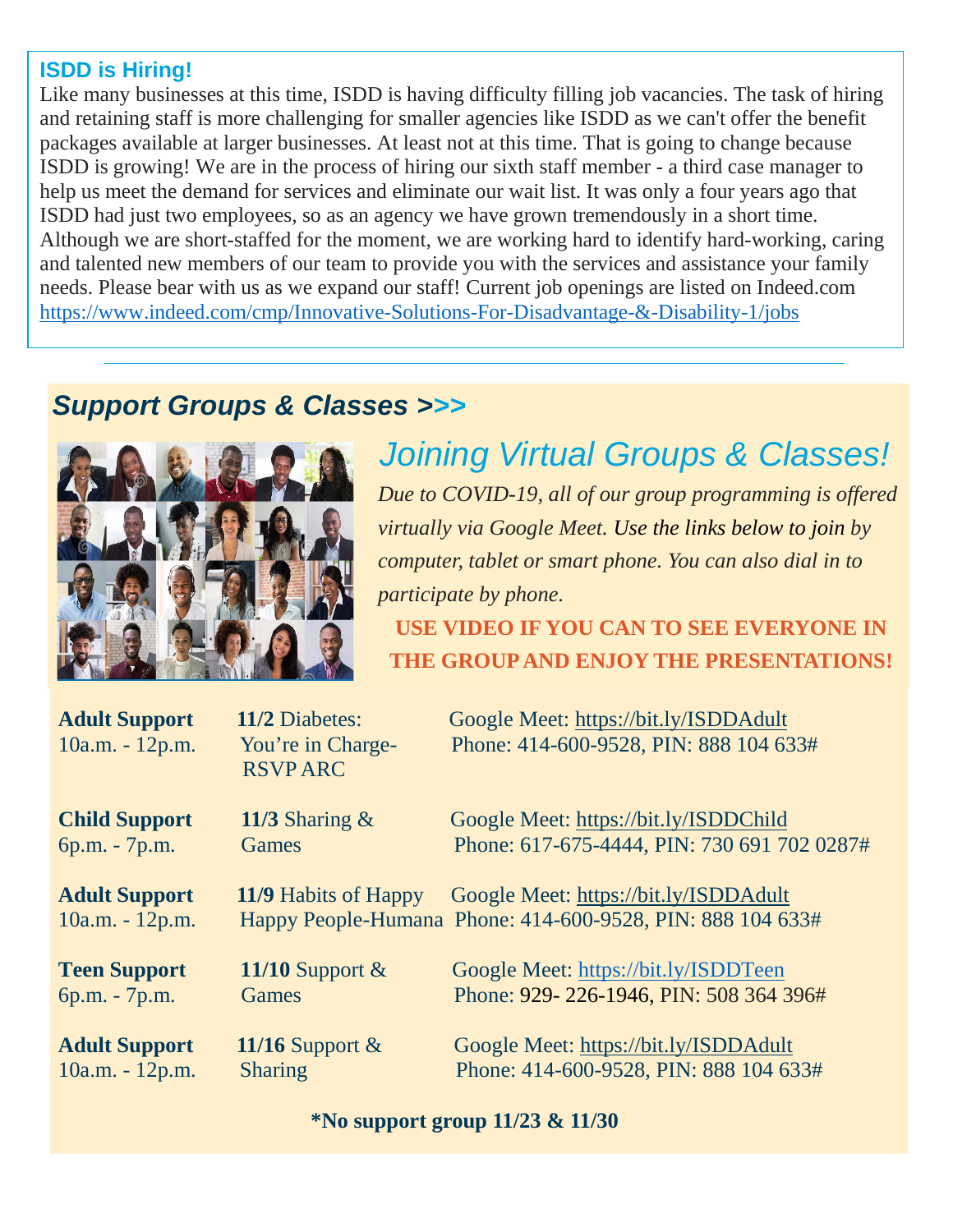#### **ISDD is Hiring!**

Like many businesses at this time, ISDD is having difficulty filling job vacancies. The task of hiring and retaining staff is more challenging for smaller agencies like ISDD as we can't offer the benefit packages available at larger businesses. At least not at this time. That is going to change because ISDD is growing! We are in the process of hiring our sixth staff member - a third case manager to help us meet the demand for services and eliminate our wait list. It was only a four years ago that ISDD had just two employees, so as an agency we have grown tremendously in a short time. Although we are short-staffed for the moment, we are working hard to identify hard-working, caring and talented new members of our team to provide you with the services and assistance your family needs. Please bear with us as we expand our staff! Current job openings are listed on Indeed.com <https://www.indeed.com/cmp/Innovative-Solutions-For-Disadvantage-&-Disability-1/jobs>

### *Support Groups & Classes >>>*



### *Joining Virtual Groups & Classes! Due to COVID-19, all of our group programming is offered virtually via Google Meet. Use the links below to join by computer, tablet or smart phone. You can also dial in to participate by phone.*

**USE VIDEO IF YOU CAN TO SEE EVERYONE IN THE GROUP AND ENJOY THE PRESENTATIONS!**

| <b>Adult Support</b><br>10a.m. - 12p.m. | <b>11/2</b> Diabetes:<br>You're in Charge-<br><b>RSVPARC</b> | Google Meet: https://bit.ly/ISDDAdult<br>Phone: 414-600-9528, PIN: 888 104 633#                     |
|-----------------------------------------|--------------------------------------------------------------|-----------------------------------------------------------------------------------------------------|
| <b>Child Support</b>                    | 11/3 Sharing $&$                                             | Google Meet: https://bit.ly/ISDDChild                                                               |
| 6p.m. - 7p.m.                           | <b>Games</b>                                                 | Phone: 617-675-4444, PIN: 730 691 702 0287#                                                         |
| <b>Adult Support</b><br>10a.m. - 12p.m. | 11/9 Habits of Happy                                         | Google Meet: https://bit.ly/ISDDAdult<br>Happy People-Humana Phone: 414-600-9528, PIN: 888 104 633# |
| <b>Teen Support</b>                     | 11/10 Support $&$                                            | Google Meet: https://bit.ly/ISDDTeen                                                                |
| 6p.m. - 7p.m.                           | <b>Games</b>                                                 | Phone: 929-226-1946, PIN: 508 364 396#                                                              |
| <b>Adult Support</b>                    | 11/16 Support $\&$                                           | Google Meet: https://bit.ly/ISDDAdult                                                               |
| $10a.m. - 12p.m.$                       | <b>Sharing</b>                                               | Phone: 414-600-9528, PIN: 888 104 633#                                                              |

#### **\*No support group 11/23 & 11/30**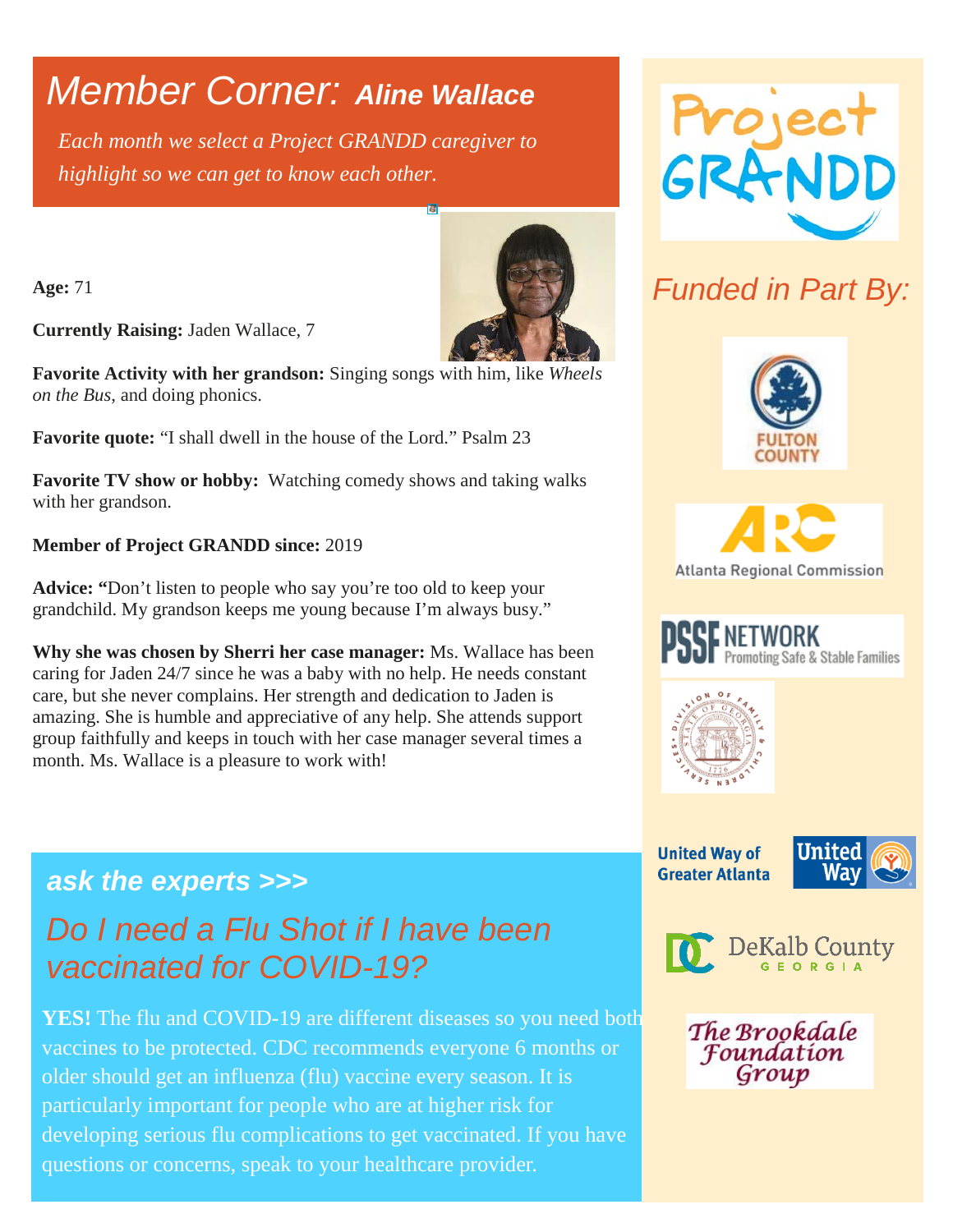## *Member Corner: Aline Wallace*

*Each month we select a Project GRANDD caregiver to highlight so we can get to know each other.* 

**Age:** 71

**Currently Raising:** Jaden Wallace, 7

**Favorite Activity with her grandson:** Singing songs with him, like *Wheels on the Bus*, and doing phonics.

**Favorite quote:** "I shall dwell in the house of the Lord." Psalm 23

**Favorite TV show or hobby:** Watching comedy shows and taking walks with her grandson.

#### **Member of Project GRANDD since:** 2019

**Advice: "**Don't listen to people who say you're too old to keep your grandchild. My grandson keeps me young because I'm always busy."

**Why she was chosen by Sherri her case manager:** Ms. Wallace has been caring for Jaden 24/7 since he was a baby with no help. He needs constant care, but she never complains. Her strength and dedication to Jaden is amazing. She is humble and appreciative of any help. She attends support group faithfully and keeps in touch with her case manager several times a month. Ms. Wallace is a pleasure to work with!

### *ask the experts >>> Do I need a Flu Shot if I have been vaccinated for COVID-19?*

**YES!** The flu and COVID-19 are different diseases so you need both vaccines to be protected. CDC recommends everyone 6 months or older should get an influenza (flu) vaccine every season. It is particularly important for people who are at higher risk for developing serious flu complications to get vaccinated. If you have questions or concerns, speak to your healthcare provider.



## *Funded in Part By:*





Promoting Safe & Stable Families

**United Way of** 

**Greater Atlanta** 

**PSSE NETWORK** 





The Brookdale **Foundation** Group